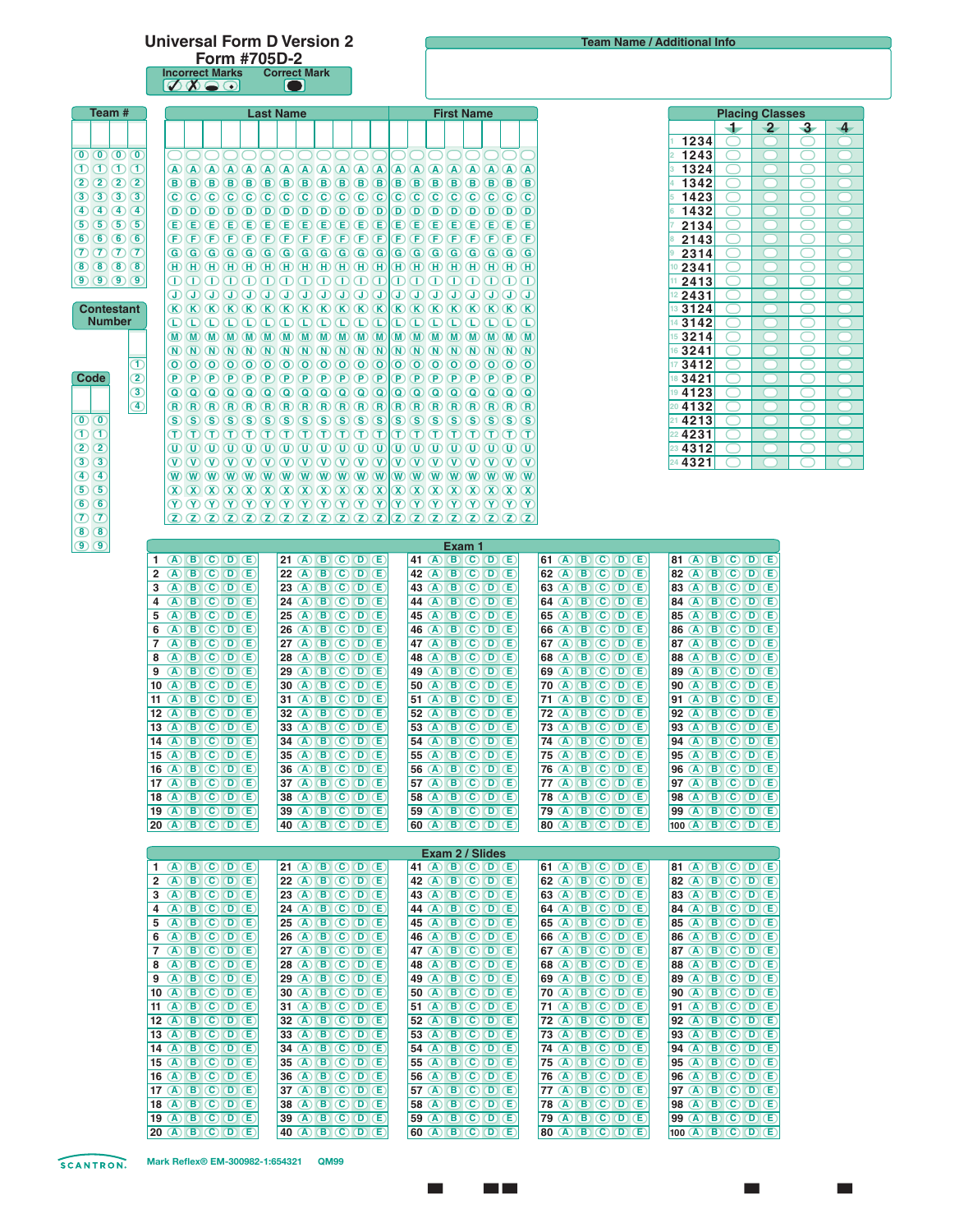## **Universal Form D Version 2**

**Form #705D-2 Incorrect Marks Correct Mark**

|                                                        | $\oslash\oslash\oslash$                                                       | $\blacksquare$                                                                                                                                                                                                                                                                                                                                                                                                                                                                                                                                                                                                                                                                                                                                                                                                                                                              |                                                                               |                                                                                  |                                                                                          |                        |                 |  |
|--------------------------------------------------------|-------------------------------------------------------------------------------|-----------------------------------------------------------------------------------------------------------------------------------------------------------------------------------------------------------------------------------------------------------------------------------------------------------------------------------------------------------------------------------------------------------------------------------------------------------------------------------------------------------------------------------------------------------------------------------------------------------------------------------------------------------------------------------------------------------------------------------------------------------------------------------------------------------------------------------------------------------------------------|-------------------------------------------------------------------------------|----------------------------------------------------------------------------------|------------------------------------------------------------------------------------------|------------------------|-----------------|--|
| Team #                                                 | <b>Last Name</b>                                                              |                                                                                                                                                                                                                                                                                                                                                                                                                                                                                                                                                                                                                                                                                                                                                                                                                                                                             |                                                                               | <b>First Name</b>                                                                |                                                                                          | <b>Placing Classes</b> |                 |  |
|                                                        |                                                                               |                                                                                                                                                                                                                                                                                                                                                                                                                                                                                                                                                                                                                                                                                                                                                                                                                                                                             |                                                                               |                                                                                  | $\mathbf{2}$<br>+                                                                        | -3-                    | $\overline{4}$  |  |
|                                                        |                                                                               |                                                                                                                                                                                                                                                                                                                                                                                                                                                                                                                                                                                                                                                                                                                                                                                                                                                                             |                                                                               |                                                                                  | 1234<br>◯                                                                                | ◯                      |                 |  |
| $\mathbf{0}$ $\mathbf{0}$ $\mathbf{0}$ $\mathbf{0}$    |                                                                               | 00000000000000000000                                                                                                                                                                                                                                                                                                                                                                                                                                                                                                                                                                                                                                                                                                                                                                                                                                                        |                                                                               |                                                                                  | 1243<br>◯                                                                                |                        |                 |  |
| $\mathbf{O} \mathbf{O} \mathbf{O} \mathbf{C}$          |                                                                               |                                                                                                                                                                                                                                                                                                                                                                                                                                                                                                                                                                                                                                                                                                                                                                                                                                                                             |                                                                               |                                                                                  | 1324<br>1342                                                                             |                        |                 |  |
| 2022<br>30303                                          |                                                                               |                                                                                                                                                                                                                                                                                                                                                                                                                                                                                                                                                                                                                                                                                                                                                                                                                                                                             |                                                                               |                                                                                  | 1423                                                                                     |                        |                 |  |
| 40404                                                  |                                                                               |                                                                                                                                                                                                                                                                                                                                                                                                                                                                                                                                                                                                                                                                                                                                                                                                                                                                             |                                                                               |                                                                                  | 1432<br>◯                                                                                |                        |                 |  |
| 50555                                                  |                                                                               |                                                                                                                                                                                                                                                                                                                                                                                                                                                                                                                                                                                                                                                                                                                                                                                                                                                                             |                                                                               |                                                                                  | 2134<br>◯                                                                                |                        |                 |  |
| 66666                                                  |                                                                               | $\textcolor{red}{\mathbf{P} \mathbf{P} \mathbf{P} \mathbf{P} \mathbf{P} \mathbf{P} \mathbf{P} \mathbf{P} \mathbf{P} \mathbf{P} \mathbf{P} \mathbf{P} \mathbf{P} \mathbf{P} \mathbf{P} \mathbf{P} \mathbf{P} \mathbf{P} \mathbf{P} \mathbf{P} \mathbf{P} \mathbf{P} \mathbf{P} \mathbf{P} \mathbf{P} \mathbf{P} \mathbf{P} \mathbf{P} \mathbf{P} \mathbf{P} \mathbf{P} \mathbf{P} \mathbf{P} \mathbf{P} \mathbf{P} \mathbf{$                                                                                                                                                                                                                                                                                                                                                                                                                                                 |                                                                               |                                                                                  | 2143                                                                                     |                        |                 |  |
| $Q$ $Q$ $Q$ $Q$                                        |                                                                               |                                                                                                                                                                                                                                                                                                                                                                                                                                                                                                                                                                                                                                                                                                                                                                                                                                                                             |                                                                               |                                                                                  | 2314                                                                                     |                        |                 |  |
| 8888<br>9999                                           |                                                                               | $\Box\hspace{0.01in} \Box\hspace{0.01in} \Box\hspace{0.01in} \Box\hspace{0.01in} \Box\hspace{0.01in} \Box\hspace{0.01in} \Box\hspace{0.01in} \Box\hspace{0.01in} \Box\hspace{0.01in} \Box\hspace{0.01in} \Box\hspace{0.01in} \Box\hspace{0.01in} \Box\hspace{0.01in} \Box\hspace{0.01in} \Box\hspace{0.01in} \Box\hspace{0.01in} \Box\hspace{0.01in} \Box\hspace{0.01in} \Box\hs$                                                                                                                                                                                                                                                                                                                                                                                                                                                                                           |                                                                               |                                                                                  | 2341<br>( )<br>2413<br>$\left( \begin{array}{c} 1 \end{array} \right)$                   | Ο                      |                 |  |
|                                                        |                                                                               | $\begin{array}{c} \textcircled{1} & \textcircled{1} & \textcircled{1} & \textcircled{1} & \textcircled{1} & \textcircled{1} & \textcircled{1} \end{array}$                                                                                                                                                                                                                                                                                                                                                                                                                                                                                                                                                                                                                                                                                                                  |                                                                               |                                                                                  | 2431<br>( )                                                                              |                        |                 |  |
| <b>Contestant</b>                                      |                                                                               | $\hbox{K}\hskip-2pt{\ell\hskip-2pt{\rm K}}\hskip-2pt{\ell\hskip-2pt{\rm K}}\hskip-2pt{\ell\hskip-2pt{\rm K}}\hskip-2pt{\ell\hskip-2pt{\rm K}}\hskip-2pt{\ell\hskip-2pt{\rm K}}\hskip-2pt{\ell\hskip-2pt{\rm K}}\hskip-2pt{\ell\hskip-2pt{\rm K}}\hskip-2pt{\ell\hskip-2pt{\rm K}}\hskip-2pt{\ell\hskip-2pt{\rm K}}\hskip-2pt{\ell\hskip-2pt{\rm K}}\hskip-2pt{\ell\hskip-2pt{\rm K}}\hskip-2pt{\ell\hskip-2pt{\rm K$                                                                                                                                                                                                                                                                                                                                                                                                                                                        |                                                                               |                                                                                  | 3124                                                                                     |                        |                 |  |
| <b>Number</b>                                          |                                                                               | $\begin{tabular}{l} \hline \textbf{O} & \textbf{O} & \textbf{O} & \textbf{O} & \textbf{O} & \textbf{O} & \textbf{O} & \textbf{O} & \textbf{O} & \textbf{O} & \textbf{O} & \textbf{O} & \textbf{O} & \textbf{O} & \textbf{O} & \textbf{O} & \textbf{O} & \textbf{O} \end{tabular}$                                                                                                                                                                                                                                                                                                                                                                                                                                                                                                                                                                                           |                                                                               |                                                                                  | 3142<br>◯                                                                                | ◯                      |                 |  |
|                                                        |                                                                               |                                                                                                                                                                                                                                                                                                                                                                                                                                                                                                                                                                                                                                                                                                                                                                                                                                                                             |                                                                               |                                                                                  | 3214<br>15<br>$\left( \begin{array}{c} 1 \end{array} \right)$                            | ◯                      |                 |  |
| Œ                                                      |                                                                               |                                                                                                                                                                                                                                                                                                                                                                                                                                                                                                                                                                                                                                                                                                                                                                                                                                                                             |                                                                               |                                                                                  | 3241<br>◯<br>$\left( \quad \right)$<br>16<br>$\rightarrow$                               | ◯                      | $\bigcirc$<br>O |  |
| $\overline{\mathbf{2}}$<br>Code                        |                                                                               |                                                                                                                                                                                                                                                                                                                                                                                                                                                                                                                                                                                                                                                                                                                                                                                                                                                                             |                                                                               |                                                                                  | 3412<br>$\left( \begin{array}{c} 1 \end{array} \right)$<br>3421<br>◯<br>18<br>$\sqrt{2}$ | ( )<br>◯               | $\sqrt{2}$      |  |
| $\circled{3}$                                          |                                                                               |                                                                                                                                                                                                                                                                                                                                                                                                                                                                                                                                                                                                                                                                                                                                                                                                                                                                             |                                                                               |                                                                                  | 4123<br>19<br>◯<br>- 7                                                                   | ◯                      | $\Box$          |  |
| ④                                                      |                                                                               |                                                                                                                                                                                                                                                                                                                                                                                                                                                                                                                                                                                                                                                                                                                                                                                                                                                                             |                                                                               |                                                                                  | 20 4132<br>◯<br>$\sqrt{2}$                                                               | ⌒                      | $\bigcap$       |  |
| $\mathbf{O}$ $\mathbf{O}$                              |                                                                               |                                                                                                                                                                                                                                                                                                                                                                                                                                                                                                                                                                                                                                                                                                                                                                                                                                                                             |                                                                               |                                                                                  | 4213<br>$\left( \begin{array}{c} 1 \end{array} \right)$                                  | ( )                    | $\Box$          |  |
| OŒ                                                     |                                                                               | $\mathbf{D} \oplus \mathbf{D} \oplus \mathbf{D} \oplus \mathbf{D} \oplus \mathbf{D} \oplus \mathbf{D} \oplus \mathbf{D} \oplus \mathbf{D} \oplus \mathbf{D} \oplus \mathbf{D} \oplus \mathbf{D} \oplus \mathbf{D} \oplus \mathbf{D} \oplus \mathbf{D} \oplus \mathbf{D} \oplus \mathbf{D} \oplus \mathbf{D} \oplus \mathbf{D} \oplus \mathbf{D} \oplus \mathbf{D} \oplus \mathbf{D} \oplus \mathbf{D} \oplus \mathbf{D} \oplus \mathbf{D} \oplus \mathbf{$                                                                                                                                                                                                                                                                                                                                                                                                                  |                                                                               |                                                                                  | 4231<br>◯                                                                                | ◯                      | $\Box$          |  |
| $(2)$ $(2)$<br>$3\sqrt{3}$                             |                                                                               | $\textcircled{\tiny{1}} \textcircled{\tiny{1}} \textcircled{\tiny{1}} \textcircled{\tiny{1}} \textcircled{\tiny{1}} \textcircled{\tiny{1}} \textcircled{\tiny{1}} \textcircled{\tiny{1}} \textcircled{\tiny{1}} \textcircled{\tiny{1}} \textcircled{\tiny{1}} \textcircled{\tiny{1}} \textcircled{\tiny{1}} \textcircled{\tiny{1}} \textcircled{\tiny{1}} \textcircled{\tiny{1}} \textcircled{\tiny{1}} \textcircled{\tiny{1}} \textcircled{\tiny{1}} \textcircled{\tiny{1}} \textcircled{\tiny{1}} \textcircled{\tiny{1}} \textcircled{\tiny{1}} \textcircled{\tiny{1}} \textcircled$<br>$\textcircled{v} \textcircled{v} \textcircled{v} \textcircled{v} \textcircled{v} \textcircled{v} \textcircled{v} \textcircled{v} \textcircled{v} \textcircled{v} \textcircled{v} \textcircled{v} \textcircled{v} \textcircled{v} \textcircled{v} \textcircled{v} \textcircled{v}$ |                                                                               |                                                                                  | 23 4312<br>$\bigcap$<br>4321<br>$\bigcap$                                                | ◯                      | $\sqrt{2}$      |  |
| $\bigoplus$ $\bigoplus$                                |                                                                               |                                                                                                                                                                                                                                                                                                                                                                                                                                                                                                                                                                                                                                                                                                                                                                                                                                                                             |                                                                               |                                                                                  |                                                                                          |                        |                 |  |
| 56                                                     |                                                                               |                                                                                                                                                                                                                                                                                                                                                                                                                                                                                                                                                                                                                                                                                                                                                                                                                                                                             |                                                                               |                                                                                  |                                                                                          |                        |                 |  |
| 66                                                     |                                                                               | $(\mathbb{Y}) \times (\mathbb{Y}) \times (\mathbb{Y}) \times (\mathbb{Y}) \times (\mathbb{Y}) \times (\mathbb{Y}) \times (\mathbb{Y}) \times (\mathbb{Y}) \times (\mathbb{Y}) \times (\mathbb{Y}) \times (\mathbb{Y}) \times (\mathbb{Y}) \times (\mathbb{Y}) \times (\mathbb{Y}) \times (\mathbb{Y}) \times (\mathbb{Y}) \times (\mathbb{Y}) \times (\mathbb{Y}) \times (\mathbb{Y}) \times (\mathbb{Y}) \times (\mathbb{Y}) \times (\mathbb{Y}) \times (\mathbb{Y}) \times (\mathbb{Y}) \times (\mathbb{Y}) \times (\mathbb{Y}) \times (\mathbb{Y}) \times (\mathbb{$                                                                                                                                                                                                                                                                                                     |                                                                               |                                                                                  |                                                                                          |                        |                 |  |
| $\sigma$                                               |                                                                               | $(2)$ $(2)$ $(2)$ $(2)$ $(2)$ $(2)$ $(2)$ $(2)$ $(2)$ $(2)$ $(2)$ $(2)$ $(2)$ $(2)$ $(2)$ $(2)$ $(2)$                                                                                                                                                                                                                                                                                                                                                                                                                                                                                                                                                                                                                                                                                                                                                                       |                                                                               |                                                                                  |                                                                                          |                        |                 |  |
| $\left( 8\right)$ $\left( 8\right)$<br>$\odot$ $\odot$ |                                                                               |                                                                                                                                                                                                                                                                                                                                                                                                                                                                                                                                                                                                                                                                                                                                                                                                                                                                             | Exam 1                                                                        |                                                                                  |                                                                                          |                        |                 |  |
|                                                        | $1$ (A) (B) (C) (D) (E)                                                       | 21 (A) (B) (C) (D) (E)                                                                                                                                                                                                                                                                                                                                                                                                                                                                                                                                                                                                                                                                                                                                                                                                                                                      | 41 A B C D E                                                                  | 61 (A B C D E                                                                    | 81 (A B C D E                                                                            |                        |                 |  |
|                                                        | 2 $\overline{A}$ $\overline{B}$ $\overline{C}$ $\overline{D}$ $\overline{E}$  | 22 (A) (B) (C) (D) $E$                                                                                                                                                                                                                                                                                                                                                                                                                                                                                                                                                                                                                                                                                                                                                                                                                                                      | $42$ (A) (B) (C) (D) (E)                                                      | 62 (A B C D E                                                                    | 82 (A B C D E                                                                            |                        |                 |  |
|                                                        | $3$ (A) (B) (C) (D) (E)                                                       | 23 (A) (B) (C) (D) $E$                                                                                                                                                                                                                                                                                                                                                                                                                                                                                                                                                                                                                                                                                                                                                                                                                                                      | 43 A B C D E                                                                  | 63 A B C D E                                                                     | 83 (A B C D E                                                                            |                        |                 |  |
|                                                        | $4$ (A) (B) (C) (D) (E)<br>$5$ (A) (B) (C) (D) (E)                            | 24 (A) (B) (C) (D) (E)<br>$25$ (A) (B) (C) (D) (E)                                                                                                                                                                                                                                                                                                                                                                                                                                                                                                                                                                                                                                                                                                                                                                                                                          | 44 A B C D E<br>45 A B C D E                                                  | 64 A B C D E<br>65 A B C D E                                                     | 84 A B C D E<br>85 A B C D E                                                             |                        |                 |  |
|                                                        | $6$ (A) $8$ (C) $0$ (E)                                                       | 26 A B C D E                                                                                                                                                                                                                                                                                                                                                                                                                                                                                                                                                                                                                                                                                                                                                                                                                                                                | 46 A B C D E                                                                  | 66 A B C D E                                                                     | 86 A B C D E                                                                             |                        |                 |  |
|                                                        | $7$ (A) (B) (C) (D) (E)                                                       | 27 (A) (B) (C) (D) $E$                                                                                                                                                                                                                                                                                                                                                                                                                                                                                                                                                                                                                                                                                                                                                                                                                                                      | 47 (A) (B) (C) (D) (E)                                                        | 67 A B C D E                                                                     | 87 (A B C D E                                                                            |                        |                 |  |
|                                                        | 8 A B C D E                                                                   | $\overline{A}$ $\overline{B}$ $\overline{C}$ $\overline{D}$ $\overline{E}$<br>28                                                                                                                                                                                                                                                                                                                                                                                                                                                                                                                                                                                                                                                                                                                                                                                            | 48 A B C D E                                                                  | 68 A B C D E                                                                     | 88 A B C D E                                                                             |                        |                 |  |
|                                                        | $9$ (A) (B) (C) (D) (E)<br>$10$ (A) (B) (C) (D) (E)                           | 29 (A) (B) (C) (D) $E$<br>30 (A) (B) (C) (D) (E)                                                                                                                                                                                                                                                                                                                                                                                                                                                                                                                                                                                                                                                                                                                                                                                                                            | 49 A B C D E<br>50 A B C D E                                                  | 69 A B C D E<br>70 (A B C D E                                                    | 89 A B C D E<br>90 A B C D E                                                             |                        |                 |  |
|                                                        | 11 (A) (B) (C) (D) $E$                                                        | 31 $\omega$<br>$\overline{B}$ $\overline{C}$ $\overline{D}$ $\overline{E}$                                                                                                                                                                                                                                                                                                                                                                                                                                                                                                                                                                                                                                                                                                                                                                                                  | 51 (A) (B) (C) (D) (E)                                                        | 71 $\overline{A}$ $\overline{B}$ $\overline{C}$ $\overline{D}$ $\overline{E}$    | 91 $\overline{A}$ $\overline{B}$ $\overline{C}$ $\overline{D}$ $\overline{E}$            |                        |                 |  |
|                                                        | $12$ (A) (B) (C) (D) (E)                                                      | 32 (A B C D E                                                                                                                                                                                                                                                                                                                                                                                                                                                                                                                                                                                                                                                                                                                                                                                                                                                               | 52 (A) (B) (C) (D) (E)                                                        | $72$ (A) (B) (C) (D) (E)                                                         | 92 (A B C D E                                                                            |                        |                 |  |
|                                                        | $13$ (A) (B) (C) (D) (E)                                                      | 33 A B C D E                                                                                                                                                                                                                                                                                                                                                                                                                                                                                                                                                                                                                                                                                                                                                                                                                                                                | 53 A B C D E                                                                  | 73 (A) (B) (C) (D) (E)                                                           | 93 A B C D E                                                                             |                        |                 |  |
|                                                        | $14$ (A) (B) (C) (D) (E)                                                      | 34 A B C D E                                                                                                                                                                                                                                                                                                                                                                                                                                                                                                                                                                                                                                                                                                                                                                                                                                                                | 54 A B C D E                                                                  | $74$ (A) (B) (C) (D) (E)                                                         | 94 (A) (B) (C) (D) (E)                                                                   |                        |                 |  |
|                                                        | $15$ (A) (B) (C) (D) (E)<br>$16$ (A) (B) (C) (D) (E)                          | 35 (A) (B) (C) (D) (E)<br>36 A B C D E                                                                                                                                                                                                                                                                                                                                                                                                                                                                                                                                                                                                                                                                                                                                                                                                                                      | 55 A B C D E<br>56 (A) (B) (C) (D) (E)                                        | $75$ (A) $\overline{B}$ (C) $\overline{D}$ (E)<br>76 A B C D E                   | 95 (A) (B) (C) (D) (E)<br>96 A B C D E                                                   |                        |                 |  |
|                                                        | 17 (A) (B) (C) (D) (E)                                                        | 37 (A) (B) (C) (D) (E)                                                                                                                                                                                                                                                                                                                                                                                                                                                                                                                                                                                                                                                                                                                                                                                                                                                      | 57 (A) (B) (C) (D) (E)                                                        | 77 (A) (B) (C) (D) (E)                                                           | $97$ (A) (B) (C) (D) (E)                                                                 |                        |                 |  |
|                                                        | $18$ (A) (B) (C) (D) (E)                                                      | 38 A B C D E                                                                                                                                                                                                                                                                                                                                                                                                                                                                                                                                                                                                                                                                                                                                                                                                                                                                | 58 A B C D E                                                                  | 78 (A) (B) (C) (D) (E)                                                           | 98 A B C D E                                                                             |                        |                 |  |
|                                                        | 19 (A) $\boxed{B}$ $\boxed{C}$ $\boxed{D}$ $\boxed{E}$                        | 39 (A B C D E                                                                                                                                                                                                                                                                                                                                                                                                                                                                                                                                                                                                                                                                                                                                                                                                                                                               | 59 A B C D E                                                                  | $79$ (A) (B) (C) (D) (E)                                                         | 99 (A) (B) (C) (D) (E)                                                                   |                        |                 |  |
|                                                        | 20 (A) $\boxed{B}$ (C) $\boxed{D}$ (E)                                        | 40 A B C D E                                                                                                                                                                                                                                                                                                                                                                                                                                                                                                                                                                                                                                                                                                                                                                                                                                                                | $ 60 \text{ (A) (B) (C) (D) (E)} $                                            | 80 (A (B (C (D (E)                                                               | 100 A B C D E                                                                            |                        |                 |  |
|                                                        |                                                                               |                                                                                                                                                                                                                                                                                                                                                                                                                                                                                                                                                                                                                                                                                                                                                                                                                                                                             | Exam 2 / Slides                                                               |                                                                                  |                                                                                          |                        |                 |  |
|                                                        | $1$ (A) $B$ (C) $D$ (E)                                                       | 21 (A) $\left  \text{B} \right $ (C) $\left  \text{D} \right $ (E)                                                                                                                                                                                                                                                                                                                                                                                                                                                                                                                                                                                                                                                                                                                                                                                                          | 41 A B C D E                                                                  | 61 A B C D E                                                                     | 81 A B C D E                                                                             |                        |                 |  |
|                                                        | $2$ (A) (B) (C) (D) (E)                                                       | 22 (A) $\left($ B) (C) $\left($ D) $\left($ E)                                                                                                                                                                                                                                                                                                                                                                                                                                                                                                                                                                                                                                                                                                                                                                                                                              | 42 $\overline{A}$ $\overline{B}$ $\overline{C}$ $\overline{D}$ $\overline{E}$ | 62 (A B C D E                                                                    | 82 (A B C D E                                                                            |                        |                 |  |
|                                                        | $3$ (A) $\boxed{B}$ (C) $\boxed{D}$ (E)                                       | 23 A B C D E                                                                                                                                                                                                                                                                                                                                                                                                                                                                                                                                                                                                                                                                                                                                                                                                                                                                | 43 A B C D E                                                                  | 63 A B C D E                                                                     | 83 A B C D E                                                                             |                        |                 |  |
|                                                        | $4$ (A) (B) (C) (D) (E)<br>$5$ (A) (B) (C) (D) (E)                            | 24 A B C D E                                                                                                                                                                                                                                                                                                                                                                                                                                                                                                                                                                                                                                                                                                                                                                                                                                                                | 44 A B C D E                                                                  | 64 A B C D E                                                                     | 84 A B C D E<br>85 A B C D E                                                             |                        |                 |  |
|                                                        | $6$ (A) (B) (C) (D) (E)                                                       | 25 (A B C D E<br>26 A B C D E                                                                                                                                                                                                                                                                                                                                                                                                                                                                                                                                                                                                                                                                                                                                                                                                                                               | 45 A B C D E<br>46 A B C D E                                                  | 65 A B C D E<br>66 A B C D E                                                     | 86 A B C D E                                                                             |                        |                 |  |
|                                                        | $7$ (A) $\bullet$ (C) $\bullet$ (E)                                           | 27 (A) (B) (C) (D) (E)                                                                                                                                                                                                                                                                                                                                                                                                                                                                                                                                                                                                                                                                                                                                                                                                                                                      | 47 $\overline{A}$ $\overline{B}$ $\overline{C}$ $\overline{D}$ $\overline{E}$ | 67 A B C D E                                                                     | 87 (A B C D E                                                                            |                        |                 |  |
|                                                        | 8 A B C D E                                                                   | 28 (A) (B) (C) (D) (E)                                                                                                                                                                                                                                                                                                                                                                                                                                                                                                                                                                                                                                                                                                                                                                                                                                                      | 48 A B C D E                                                                  | 68 A B C D E                                                                     | 88 A B C D E                                                                             |                        |                 |  |
|                                                        | 9 A B C D E                                                                   | 29 (A) (B) (C) (D) (E)                                                                                                                                                                                                                                                                                                                                                                                                                                                                                                                                                                                                                                                                                                                                                                                                                                                      | 49 A B C D E                                                                  | 69 A B C D E                                                                     | 89 A B C D E                                                                             |                        |                 |  |
|                                                        | 10 (A) (B) (C) (D) (E)                                                        | 30 (A) (B) (C) (D) (E)                                                                                                                                                                                                                                                                                                                                                                                                                                                                                                                                                                                                                                                                                                                                                                                                                                                      | 50 (A B C D E                                                                 | $70$ (A) (B) (C) (D) (E)                                                         | 90 (A B C D E                                                                            |                        |                 |  |
|                                                        | 11 (A) $\boxed{B}$ (C) $\boxed{D}$ (E)<br>$12$ (A) (B) (C) (D) (E)            | 31 (A) $\boxed{B}$ (C) $\boxed{D}$ (E)<br>32 (A) (B) (C) (D) (E)                                                                                                                                                                                                                                                                                                                                                                                                                                                                                                                                                                                                                                                                                                                                                                                                            | 51 (A) (B) (C) (D) (E)<br>52 (A) (B) (C) (D) (E)                              | 71 (A) $\left  B \right $ (C) $\left  D \right $ (E)<br>$72$ (A) (B) (C) (D) (E) | $91$ (A) (B) (C) (D) (E)<br>92 A B C D E                                                 |                        |                 |  |
|                                                        | 13 (A) $\boxed{B}$ (C) $\boxed{D}$ (E)                                        | 33 (A) (B) (C) (D) (E)                                                                                                                                                                                                                                                                                                                                                                                                                                                                                                                                                                                                                                                                                                                                                                                                                                                      | 53 (A B C D E                                                                 | 73 (A) (B) $\bigcirc$ (D) $\bigcirc$                                             | 93 A B C D E                                                                             |                        |                 |  |
|                                                        | 14 $\overline{A}$ $\overline{B}$ $\overline{C}$ $\overline{D}$ $\overline{E}$ | 34 (A) (B) (C) (D) (E)                                                                                                                                                                                                                                                                                                                                                                                                                                                                                                                                                                                                                                                                                                                                                                                                                                                      | 54 (A) (B) (C) (D) (E)                                                        | $74$ (A) (B) (C) (D) (E)                                                         | 94 A B C D E                                                                             |                        |                 |  |
|                                                        | 15 (A) (B) (C) (D) $E$                                                        | 35 A B C D E                                                                                                                                                                                                                                                                                                                                                                                                                                                                                                                                                                                                                                                                                                                                                                                                                                                                | 55 A B C D E                                                                  | 75 (A) (B) $\bigcirc$ (D) $\bigcirc$                                             | 95 A B C D E                                                                             |                        |                 |  |
|                                                        | 16 (A) $\boxed{B}$ (C) $\boxed{D}$ (E)                                        | 36 (A) (B) (C) (D) (E)                                                                                                                                                                                                                                                                                                                                                                                                                                                                                                                                                                                                                                                                                                                                                                                                                                                      | 56 (A) (B) (C) (D) (E)                                                        | 76 $\overline{A}$ $\overline{B}$ $\overline{C}$ $\overline{D}$ $\overline{E}$    | 96 A B C D E                                                                             |                        |                 |  |

**SCANTRON.** 

**17**

**18 A B C D E 19 A B C D E 20 A B C D E** 

»»»»» \\\\\**A B C D E**

**37**

**38 A B C D E 39** »»»»» \\\\\**A B C D E 40** »»»»» \\\\\**A B C D E**

»»»»» \\\\\**A B C D E**

**57**

**58** »»»»» \\\\\**A B C D E 59** »»»»» \\\\\**A B C D E 60** »»»»» \\\\\**A B C D E**

»»»»» \\\\\**A B C D E**

**77**

**78** »»»»» \\\\\**A B C D E 79** »»»»» \\\\\**A B C D E 80** »»»»» \\\\\**A B C D E**

»»»»» \\\\\**A B C D E**

**97**

| || | |

**98** »»»»» \\\\\**A B C D E 99** »»»»» \\\\\**A B C D E 100 A B C D E** 

»»»»» \\\\\**A B C D E**